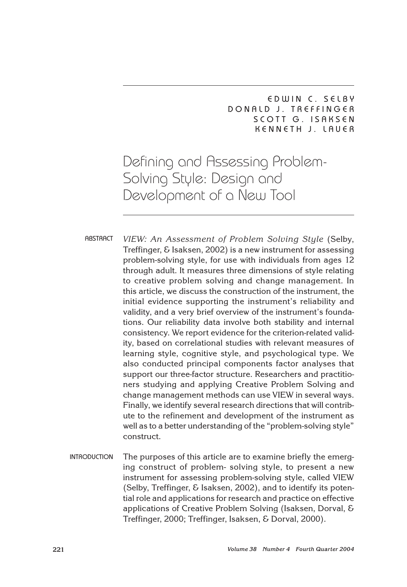EDWIN C. SELBY DONALD J. TREFFINGER SCOTT G. ISAKSEN KENNETH J. LAUER

Defining and Assessing Problem-Solving Style: Design and Development of a New Tool

**ABSTRACT** *VIEW: An Assessment of Problem Solving Style* (Selby, Treffinger, & Isaksen, 2002) is a new instrument for assessing problem-solving style, for use with individuals from ages 12 through adult. It measures three dimensions of style relating to creative problem solving and change management. In this article, we discuss the construction of the instrument, the initial evidence supporting the instrument's reliability and validity, and a very brief overview of the instrument's foundations. Our reliability data involve both stability and internal consistency. We report evidence for the criterion-related validity, based on correlational studies with relevant measures of learning style, cognitive style, and psychological type. We also conducted principal components factor analyses that support our three-factor structure. Researchers and practitioners studying and applying Creative Problem Solving and change management methods can use VIEW in several ways. Finally, we identify several research directions that will contribute to the refinement and development of the instrument as well as to a better understanding of the "problem-solving style" construct.

INTRODUCTION The purposes of this article are to examine briefly the emerging construct of problem- solving style, to present a new instrument for assessing problem-solving style, called VIEW (Selby, Treffinger, & Isaksen, 2002), and to identify its potential role and applications for research and practice on effective applications of Creative Problem Solving (Isaksen, Dorval, & Treffinger, 2000; Treffinger, Isaksen, & Dorval, 2000).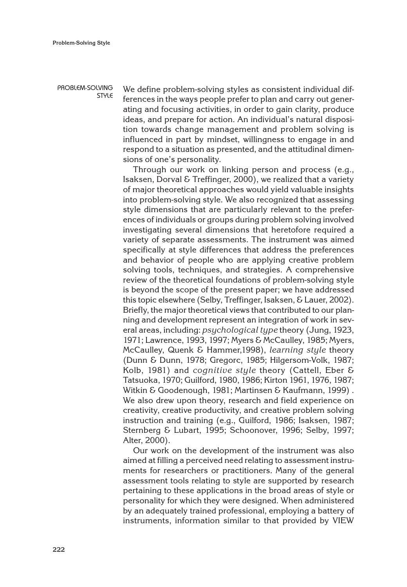## PROBLEM-SOLVING STYLE

We define problem-solving styles as consistent individual differences in the ways people prefer to plan and carry out generating and focusing activities, in order to gain clarity, produce ideas, and prepare for action. An individual's natural disposition towards change management and problem solving is influenced in part by mindset, willingness to engage in and respond to a situation as presented, and the attitudinal dimensions of one's personality.

Through our work on linking person and process (e.g., Isaksen, Dorval & Treffinger, 2000), we realized that a variety of major theoretical approaches would yield valuable insights into problem-solving style. We also recognized that assessing style dimensions that are particularly relevant to the preferences of individuals or groups during problem solving involved investigating several dimensions that heretofore required a variety of separate assessments. The instrument was aimed specifically at style differences that address the preferences and behavior of people who are applying creative problem solving tools, techniques, and strategies. A comprehensive review of the theoretical foundations of problem-solving style is beyond the scope of the present paper; we have addressed this topic elsewhere (Selby, Treffinger, Isaksen, & Lauer, 2002). Briefly, the major theoretical views that contributed to our planning and development represent an integration of work in several areas, including: *psychological type* theory (Jung, 1923, 1971; Lawrence, 1993, 1997; Myers & McCaulley, 1985; Myers, McCaulley, Quenk & Hammer,1998), *learning style* theory (Dunn & Dunn, 1978; Gregorc, 1985; Hilgersom-Volk, 1987; Kolb, 1981) and *cognitive style* theory (Cattell, Eber & Tatsuoka, 1970; Guilford, 1980, 1986; Kirton 1961, 1976, 1987; Witkin & Goodenough, 1981; Martinsen & Kaufmann, 1999) . We also drew upon theory, research and field experience on creativity, creative productivity, and creative problem solving instruction and training (e.g., Guilford, 1986; Isaksen, 1987; Sternberg & Lubart, 1995; Schoonover, 1996; Selby, 1997; Alter, 2000).

Our work on the development of the instrument was also aimed at filling a perceived need relating to assessment instruments for researchers or practitioners. Many of the general assessment tools relating to style are supported by research pertaining to these applications in the broad areas of style or personality for which they were designed. When administered by an adequately trained professional, employing a battery of instruments, information similar to that provided by VIEW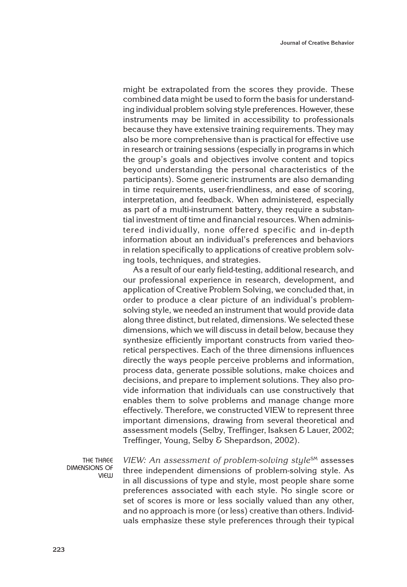might be extrapolated from the scores they provide. These combined data might be used to form the basis for understanding individual problem solving style preferences. However, these instruments may be limited in accessibility to professionals because they have extensive training requirements. They may also be more comprehensive than is practical for effective use in research or training sessions (especially in programs in which the group's goals and objectives involve content and topics beyond understanding the personal characteristics of the participants). Some generic instruments are also demanding in time requirements, user-friendliness, and ease of scoring, interpretation, and feedback. When administered, especially as part of a multi-instrument battery, they require a substantial investment of time and financial resources. When administered individually, none offered specific and in-depth information about an individual's preferences and behaviors in relation specifically to applications of creative problem solving tools, techniques, and strategies.

As a result of our early field-testing, additional research, and our professional experience in research, development, and application of Creative Problem Solving, we concluded that, in order to produce a clear picture of an individual's problemsolving style, we needed an instrument that would provide data along three distinct, but related, dimensions. We selected these dimensions, which we will discuss in detail below, because they synthesize efficiently important constructs from varied theoretical perspectives. Each of the three dimensions influences directly the ways people perceive problems and information, process data, generate possible solutions, make choices and decisions, and prepare to implement solutions. They also provide information that individuals can use constructively that enables them to solve problems and manage change more effectively. Therefore, we constructed VIEW to represent three important dimensions, drawing from several theoretical and assessment models (Selby, Treffinger, Isaksen & Lauer, 2002; Treffinger, Young, Selby & Shepardson, 2002).

THE THREE DIMENSIONS OF VIEW

VIEW: An assessment of problem-solving style<sup>SM</sup> assesses three independent dimensions of problem-solving style. As in all discussions of type and style, most people share some preferences associated with each style. No single score or set of scores is more or less socially valued than any other, and no approach is more (or less) creative than others. Individuals emphasize these style preferences through their typical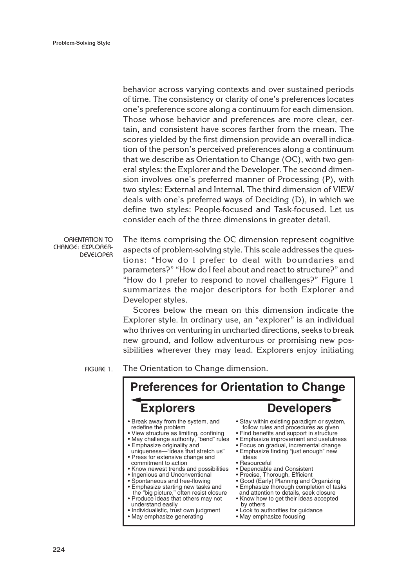behavior across varying contexts and over sustained periods of time. The consistency or clarity of one's preferences locates one's preference score along a continuum for each dimension. Those whose behavior and preferences are more clear, certain, and consistent have scores farther from the mean. The scores yielded by the first dimension provide an overall indication of the person's perceived preferences along a continuum that we describe as Orientation to Change (OC), with two general styles: the Explorer and the Developer. The second dimension involves one's preferred manner of Processing (P), with two styles: External and Internal. The third dimension of VIEW deals with one's preferred ways of Deciding (D), in which we define two styles: People-focused and Task-focused. Let us consider each of the three dimensions in greater detail.

ORIENTATION TO CHANGE: EXPLORER-DEVELOPER

The items comprising the OC dimension represent cognitive aspects of problem-solving style. This scale addresses the questions: "How do I prefer to deal with boundaries and parameters?" "How do I feel about and react to structure?" and "How do I prefer to respond to novel challenges?" Figure 1 summarizes the major descriptors for both Explorer and Developer styles.

Scores below the mean on this dimension indicate the Explorer style. In ordinary use, an "explorer" is an individual who thrives on venturing in uncharted directions, seeks to break new ground, and follow adventurous or promising new possibilities wherever they may lead. Explorers enjoy initiating

## FIGURE 1. The Orientation to Change dimension.

| <b>Preferences for Orientation to Change</b>                                                                                                                                                                                                                                                                                                                                                                                                                                                                                                                                                                       |                                                                                                                                                                                                                                                                                                                                                                                                                                                                                                                                                                                                                 |  |  |  |  |
|--------------------------------------------------------------------------------------------------------------------------------------------------------------------------------------------------------------------------------------------------------------------------------------------------------------------------------------------------------------------------------------------------------------------------------------------------------------------------------------------------------------------------------------------------------------------------------------------------------------------|-----------------------------------------------------------------------------------------------------------------------------------------------------------------------------------------------------------------------------------------------------------------------------------------------------------------------------------------------------------------------------------------------------------------------------------------------------------------------------------------------------------------------------------------------------------------------------------------------------------------|--|--|--|--|
| <b>Explorers</b>                                                                                                                                                                                                                                                                                                                                                                                                                                                                                                                                                                                                   | <b>Developers</b>                                                                                                                                                                                                                                                                                                                                                                                                                                                                                                                                                                                               |  |  |  |  |
| • Break away from the system, and<br>redefine the problem<br>• View structure as limiting, confining<br>• May challenge authority, "bend" rules<br>• Emphasize originality and<br>uniqueness—"ideas that stretch us"<br>• Press for extensive change and<br>commitment to action<br>• Know newest trends and possibilities<br>• Ingenious and Unconventional<br>• Spontaneous and free-flowing<br>• Emphasize starting new tasks and<br>the "big picture," often resist closure<br>• Produce ideas that others may not<br>understand easily<br>• Individualistic, trust own judgment<br>• May emphasize generating | • Stay within existing paradigm or system,<br>follow rules and procedures as given<br>• Find benefits and support in structure<br>• Emphasize improvement and usefulness<br>• Focus on gradual, incremental change<br>• Emphasize finding "just enough" new<br>ideas<br>• Resourceful<br>• Dependable and Consistent<br>• Precise, Thorough, Efficient<br>• Good (Early) Planning and Organizing<br>· Emphasize thorough completion of tasks<br>and attention to details, seek closure<br>• Know how to get their ideas accepted<br>by others<br>• Look to authorities for quidance<br>• May emphasize focusing |  |  |  |  |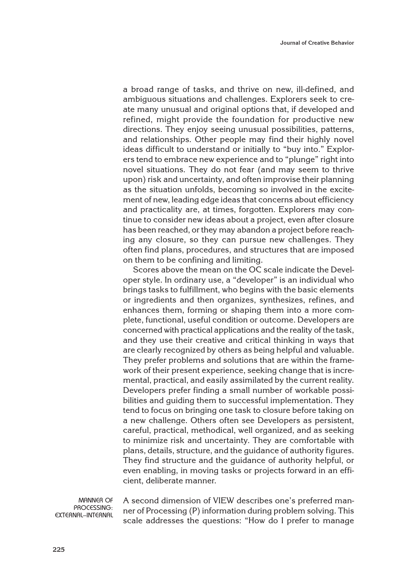a broad range of tasks, and thrive on new, ill-defined, and ambiguous situations and challenges. Explorers seek to create many unusual and original options that, if developed and refined, might provide the foundation for productive new directions. They enjoy seeing unusual possibilities, patterns, and relationships. Other people may find their highly novel ideas difficult to understand or initially to "buy into." Explorers tend to embrace new experience and to "plunge" right into novel situations. They do not fear (and may seem to thrive upon) risk and uncertainty, and often improvise their planning as the situation unfolds, becoming so involved in the excitement of new, leading edge ideas that concerns about efficiency and practicality are, at times, forgotten. Explorers may continue to consider new ideas about a project, even after closure has been reached, or they may abandon a project before reaching any closure, so they can pursue new challenges. They often find plans, procedures, and structures that are imposed on them to be confining and limiting.

Scores above the mean on the OC scale indicate the Developer style. In ordinary use, a "developer" is an individual who brings tasks to fulfillment, who begins with the basic elements or ingredients and then organizes, synthesizes, refines, and enhances them, forming or shaping them into a more complete, functional, useful condition or outcome. Developers are concerned with practical applications and the reality of the task, and they use their creative and critical thinking in ways that are clearly recognized by others as being helpful and valuable. They prefer problems and solutions that are within the framework of their present experience, seeking change that is incremental, practical, and easily assimilated by the current reality. Developers prefer finding a small number of workable possibilities and guiding them to successful implementation. They tend to focus on bringing one task to closure before taking on a new challenge. Others often see Developers as persistent, careful, practical, methodical, well organized, and as seeking to minimize risk and uncertainty. They are comfortable with plans, details, structure, and the guidance of authority figures. They find structure and the guidance of authority helpful, or even enabling, in moving tasks or projects forward in an efficient, deliberate manner.

MANNER OF PROCESSING: EXTERNAL–INTERNAL

A second dimension of VIEW describes one's preferred manner of Processing (P) information during problem solving. This scale addresses the questions: "How do I prefer to manage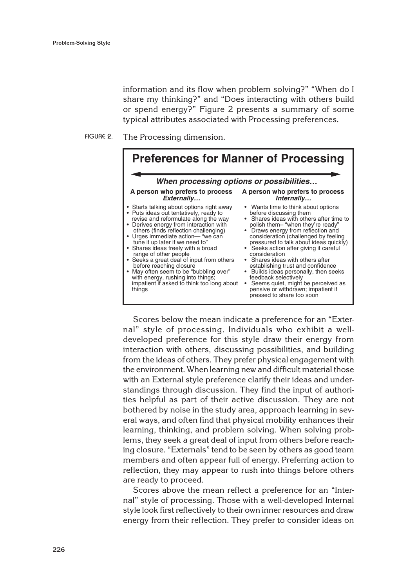information and its flow when problem solving?" "When do I share my thinking?" and "Does interacting with others build or spend energy?" Figure 2 presents a summary of some typical attributes associated with Processing preferences.

FIGURE 2. The Processing dimension.



Scores below the mean indicate a preference for an "External" style of processing. Individuals who exhibit a welldeveloped preference for this style draw their energy from interaction with others, discussing possibilities, and building from the ideas of others. They prefer physical engagement with the environment. When learning new and difficult material those with an External style preference clarify their ideas and understandings through discussion. They find the input of authorities helpful as part of their active discussion. They are not bothered by noise in the study area, approach learning in several ways, and often find that physical mobility enhances their learning, thinking, and problem solving. When solving problems, they seek a great deal of input from others before reaching closure. "Externals" tend to be seen by others as good team members and often appear full of energy. Preferring action to reflection, they may appear to rush into things before others are ready to proceed.

Scores above the mean reflect a preference for an "Internal" style of processing. Those with a well-developed Internal style look first reflectively to their own inner resources and draw energy from their reflection. They prefer to consider ideas on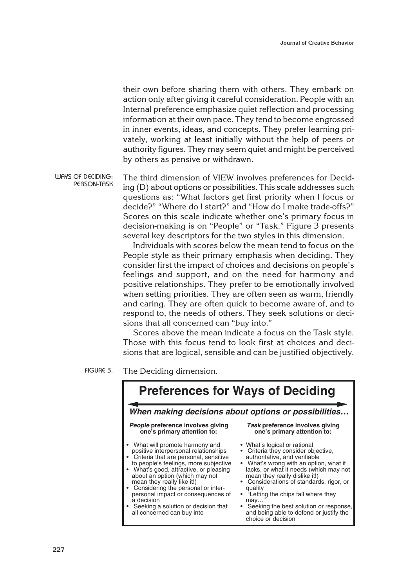their own before sharing them with others. They embark on action only after giving it careful consideration. People with an Internal preference emphasize quiet reflection and processing information at their own pace. They tend to become engrossed in inner events, ideas, and concepts. They prefer learning privately, working at least initially without the help of peers or authority figures. They may seem quiet and might be perceived by others as pensive or withdrawn.

The third dimension of VIEW involves preferences for Deciding (D) about options or possibilities. This scale addresses such questions as: "What factors get first priority when I focus or decide?" "Where do I start?" and "How do I make trade-offs?" Scores on this scale indicate whether one's primary focus in decision-making is on "People" or "Task." Figure 3 presents several key descriptors for the two styles in this dimension. WAYS OF DECIDING: PERSON-TASK

Individuals with scores below the mean tend to focus on the People style as their primary emphasis when deciding. They consider first the impact of choices and decisions on people's feelings and support, and on the need for harmony and positive relationships. They prefer to be emotionally involved when setting priorities. They are often seen as warm, friendly and caring. They are often quick to become aware of, and to respond to, the needs of others. They seek solutions or decisions that all concerned can "buy into."

Scores above the mean indicate a focus on the Task style. Those with this focus tend to look first at choices and decisions that are logical, sensible and can be justified objectively.

FIGURE 3. The Deciding dimension.

| <b>Preferences for Ways of Deciding</b>                                                                                                                                                                                                                                                                                                                                                                                                  |                                                                                                                                                                                                                                                                                                                                                                                                                                            |  |  |  |  |  |
|------------------------------------------------------------------------------------------------------------------------------------------------------------------------------------------------------------------------------------------------------------------------------------------------------------------------------------------------------------------------------------------------------------------------------------------|--------------------------------------------------------------------------------------------------------------------------------------------------------------------------------------------------------------------------------------------------------------------------------------------------------------------------------------------------------------------------------------------------------------------------------------------|--|--|--|--|--|
| When making decisions about options or possibilities                                                                                                                                                                                                                                                                                                                                                                                     |                                                                                                                                                                                                                                                                                                                                                                                                                                            |  |  |  |  |  |
| People preference involves giving<br>one's primary attention to:                                                                                                                                                                                                                                                                                                                                                                         | Task preference involves giving<br>one's primary attention to:                                                                                                                                                                                                                                                                                                                                                                             |  |  |  |  |  |
| • What will promote harmony and<br>positive interpersonal relationships<br>• Criteria that are personal, sensitive<br>to people's feelings, more subjective<br>• What's good, attractive, or pleasing<br>about an option (which may not<br>mean they really like it!)<br>• Considering the personal or inter-<br>personal impact or consequences of<br>a decision<br>• Seeking a solution or decision that<br>all concerned can buy into | • What's logical or rational<br>Criteria they consider objective.<br>authoritative, and verifiable<br>• What's wrong with an option, what it<br>lacks, or what it needs (which may not<br>mean they really dislike it!)<br>• Considerations of standards, rigor, or<br>quality<br>• "Letting the chips fall where they<br>may<br>• Seeking the best solution or response,<br>and being able to defend or justify the<br>choice or decision |  |  |  |  |  |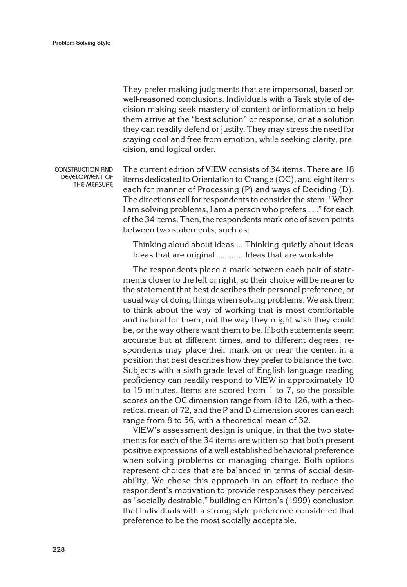They prefer making judgments that are impersonal, based on well-reasoned conclusions. Individuals with a Task style of decision making seek mastery of content or information to help them arrive at the "best solution" or response, or at a solution they can readily defend or justify. They may stress the need for staying cool and free from emotion, while seeking clarity, precision, and logical order.

The current edition of VIEW consists of 34 items. There are 18 items dedicated to Orientation to Change (OC), and eight items each for manner of Processing (P) and ways of Deciding (D). The directions call for respondents to consider the stem, "When I am solving problems, I am a person who prefers . . ." for each of the 34 items. Then, the respondents mark one of seven points between two statements, such as: CONSTRUCTION AND DEVELOPMENT OF THE MEASURE

> Thinking aloud about ideas ... Thinking quietly about ideas Ideas that are original............ Ideas that are workable

The respondents place a mark between each pair of statements closer to the left or right, so their choice will be nearer to the statement that best describes their personal preference, or usual way of doing things when solving problems. We ask them to think about the way of working that is most comfortable and natural for them, not the way they might wish they could be, or the way others want them to be. If both statements seem accurate but at different times, and to different degrees, respondents may place their mark on or near the center, in a position that best describes how they prefer to balance the two. Subjects with a sixth-grade level of English language reading proficiency can readily respond to VIEW in approximately 10 to 15 minutes. Items are scored from 1 to 7, so the possible scores on the OC dimension range from 18 to 126, with a theoretical mean of 72, and the P and D dimension scores can each range from 8 to 56, with a theoretical mean of 32.

VIEW's assessment design is unique, in that the two statements for each of the 34 items are written so that both present positive expressions of a well established behavioral preference when solving problems or managing change. Both options represent choices that are balanced in terms of social desirability. We chose this approach in an effort to reduce the respondent's motivation to provide responses they perceived as "socially desirable," building on Kirton's (1999) conclusion that individuals with a strong style preference considered that preference to be the most socially acceptable.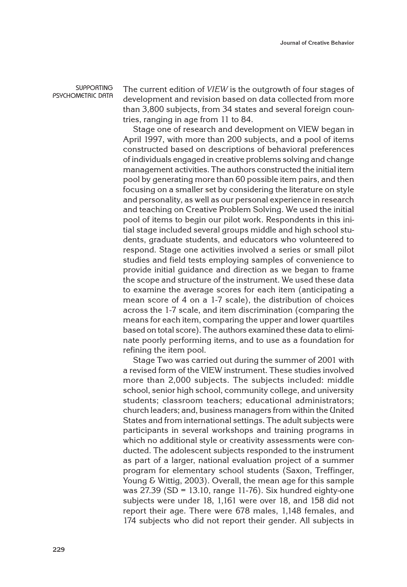**SUPPORTING** PSYCHOMETRIC DATA

The current edition of *VIEW* is the outgrowth of four stages of development and revision based on data collected from more than 3,800 subjects, from 34 states and several foreign countries, ranging in age from 11 to 84.

Stage one of research and development on VIEW began in April 1997, with more than 200 subjects, and a pool of items constructed based on descriptions of behavioral preferences of individuals engaged in creative problems solving and change management activities. The authors constructed the initial item pool by generating more than 60 possible item pairs, and then focusing on a smaller set by considering the literature on style and personality, as well as our personal experience in research and teaching on Creative Problem Solving. We used the initial pool of items to begin our pilot work. Respondents in this initial stage included several groups middle and high school students, graduate students, and educators who volunteered to respond. Stage one activities involved a series or small pilot studies and field tests employing samples of convenience to provide initial guidance and direction as we began to frame the scope and structure of the instrument. We used these data to examine the average scores for each item (anticipating a mean score of 4 on a 1-7 scale), the distribution of choices across the 1-7 scale, and item discrimination (comparing the means for each item, comparing the upper and lower quartiles based on total score). The authors examined these data to eliminate poorly performing items, and to use as a foundation for refining the item pool.

Stage Two was carried out during the summer of 2001 with a revised form of the VIEW instrument. These studies involved more than 2,000 subjects. The subjects included: middle school, senior high school, community college, and university students; classroom teachers; educational administrators; church leaders; and, business managers from within the United States and from international settings. The adult subjects were participants in several workshops and training programs in which no additional style or creativity assessments were conducted. The adolescent subjects responded to the instrument as part of a larger, national evaluation project of a summer program for elementary school students (Saxon, Treffinger, Young & Wittig, 2003). Overall, the mean age for this sample was 27.39 (SD = 13.10, range 11-76). Six hundred eighty-one subjects were under 18, 1,161 were over 18, and 158 did not report their age. There were 678 males, 1,148 females, and 174 subjects who did not report their gender. All subjects in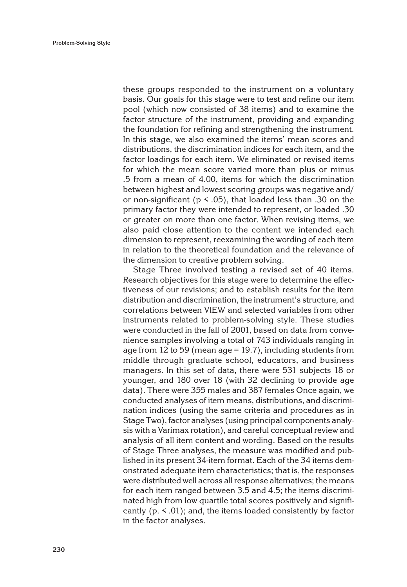these groups responded to the instrument on a voluntary basis. Our goals for this stage were to test and refine our item pool (which now consisted of 38 items) and to examine the factor structure of the instrument, providing and expanding the foundation for refining and strengthening the instrument. In this stage, we also examined the items' mean scores and distributions, the discrimination indices for each item, and the factor loadings for each item. We eliminated or revised items for which the mean score varied more than plus or minus .5 from a mean of 4.00, items for which the discrimination between highest and lowest scoring groups was negative and/ or non-significant ( $p \le 0.05$ ), that loaded less than .30 on the primary factor they were intended to represent, or loaded .30 or greater on more than one factor. When revising items, we also paid close attention to the content we intended each dimension to represent, reexamining the wording of each item in relation to the theoretical foundation and the relevance of the dimension to creative problem solving.

Stage Three involved testing a revised set of 40 items. Research objectives for this stage were to determine the effectiveness of our revisions; and to establish results for the item distribution and discrimination, the instrument's structure, and correlations between VIEW and selected variables from other instruments related to problem-solving style. These studies were conducted in the fall of 2001, based on data from convenience samples involving a total of 743 individuals ranging in age from 12 to 59 (mean age = 19.7), including students from middle through graduate school, educators, and business managers. In this set of data, there were 531 subjects 18 or younger, and 180 over 18 (with 32 declining to provide age data). There were 355 males and 387 females Once again, we conducted analyses of item means, distributions, and discrimination indices (using the same criteria and procedures as in Stage Two), factor analyses (using principal components analysis with a Varimax rotation), and careful conceptual review and analysis of all item content and wording. Based on the results of Stage Three analyses, the measure was modified and published in its present 34-item format. Each of the 34 items demonstrated adequate item characteristics; that is, the responses were distributed well across all response alternatives; the means for each item ranged between 3.5 and 4.5; the items discriminated high from low quartile total scores positively and significantly  $(p. \le .01)$ ; and, the items loaded consistently by factor in the factor analyses.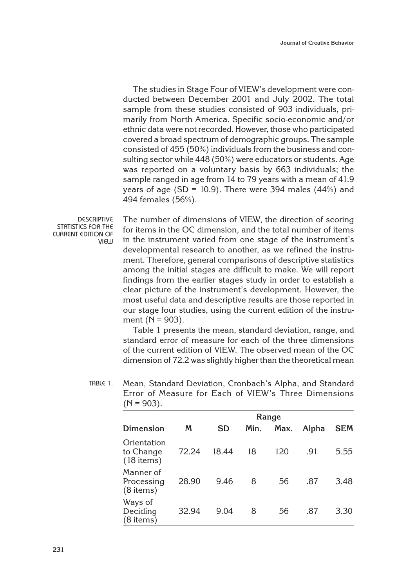The studies in Stage Four of VIEW's development were conducted between December 2001 and July 2002. The total sample from these studies consisted of 903 individuals, primarily from North America. Specific socio-economic and/or ethnic data were not recorded. However, those who participated covered a broad spectrum of demographic groups. The sample consisted of 455 (50%) individuals from the business and consulting sector while 448 (50%) were educators or students. Age was reported on a voluntary basis by 663 individuals; the sample ranged in age from 14 to 79 years with a mean of 41.9 years of age (SD = 10.9). There were 394 males  $(44%)$  and 494 females (56%).

DESCRIPTIVE STATISTICS FOR THE CURRENT EDITION OF VIELLI The number of dimensions of VIEW, the direction of scoring for items in the OC dimension, and the total number of items in the instrument varied from one stage of the instrument's developmental research to another, as we refined the instrument. Therefore, general comparisons of descriptive statistics among the initial stages are difficult to make. We will report findings from the earlier stages study in order to establish a clear picture of the instrument's development. However, the most useful data and descriptive results are those reported in our stage four studies, using the current edition of the instrument  $(N = 903)$ .

Table 1 presents the mean, standard deviation, range, and standard error of measure for each of the three dimensions of the current edition of VIEW. The observed mean of the OC dimension of 72.2 was slightly higher than the theoretical mean

|                                          | Range |           |      |      |       |            |  |
|------------------------------------------|-------|-----------|------|------|-------|------------|--|
| Dimension                                | M     | <b>SD</b> | Min. | Max. | Alpha | <b>SEM</b> |  |
| Orientation<br>to Change<br>$(18$ items) | 72.24 | 18.44     | 18   | 120  | .91   | 5.55       |  |
| Manner of<br>Processing<br>$(8$ items)   | 28.90 | 9.46      | 8    | 56   | .87   | 3.48       |  |
| Ways of<br>Deciding<br>$(8$ items)       | 32.94 | 9.04      | 8    | 56   | .87   | 3.30       |  |

Mean, Standard Deviation, Cronbach's Alpha, and Standard Error of Measure for Each of VIEW's Three Dimensions  $(N = 903)$ . TABLE 1.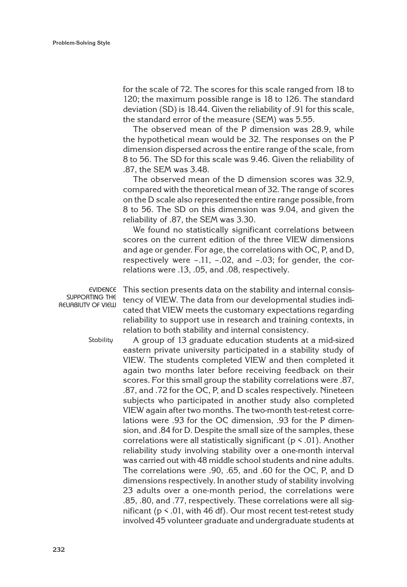for the scale of 72. The scores for this scale ranged from 18 to 120; the maximum possible range is 18 to 126. The standard deviation (SD) is 18.44. Given the reliability of .91 for this scale, the standard error of the measure (SEM) was 5.55.

The observed mean of the P dimension was 28.9, while the hypothetical mean would be 32. The responses on the P dimension dispersed across the entire range of the scale, from 8 to 56. The SD for this scale was 9.46. Given the reliability of .87, the SEM was 3.48.

The observed mean of the D dimension scores was 32.9, compared with the theoretical mean of 32. The range of scores on the D scale also represented the entire range possible, from 8 to 56. The SD on this dimension was 9.04, and given the reliability of .87, the SEM was 3.30.

We found no statistically significant correlations between scores on the current edition of the three VIEW dimensions and age or gender. For age, the correlations with OC, P, and D, respectively were –.11, –.02, and –.03; for gender, the correlations were .13, .05, and .08, respectively.

**EVIDENCE** SUPPORTING THE RELIABILITY OF VIEW This section presents data on the stability and internal consistency of VIEW. The data from our developmental studies indicated that VIEW meets the customary expectations regarding reliability to support use in research and training contexts, in relation to both stability and internal consistency*.*

Stability

A group of 13 graduate education students at a mid-sized eastern private university participated in a stability study of VIEW. The students completed VIEW and then completed it again two months later before receiving feedback on their scores. For this small group the stability correlations were .87, .87, and .72 for the OC, P, and D scales respectively. Nineteen subjects who participated in another study also completed VIEW again after two months. The two-month test-retest correlations were .93 for the OC dimension, .93 for the P dimension, and .84 for D. Despite the small size of the samples, these correlations were all statistically significant ( $p \le 0.01$ ). Another reliability study involving stability over a one-month interval was carried out with 48 middle school students and nine adults. The correlations were .90, .65, and .60 for the OC, P, and D dimensions respectively. In another study of stability involving 23 adults over a one-month period, the correlations were .85, .80, and .77, respectively. These correlations were all significant ( $p \le 0.01$ , with 46 df). Our most recent test-retest study involved 45 volunteer graduate and undergraduate students at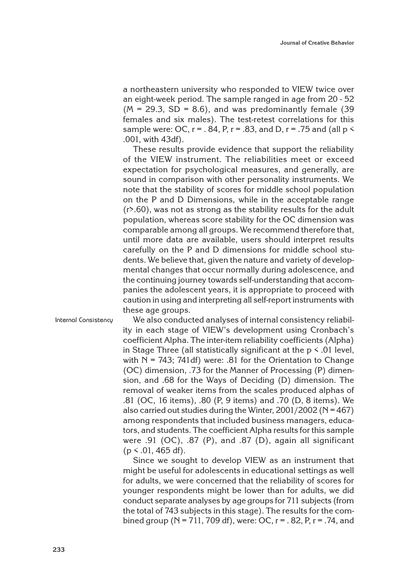a northeastern university who responded to VIEW twice over an eight-week period. The sample ranged in age from 20 - 52  $(M = 29.3, SD = 8.6)$ , and was predominantly female (39) females and six males). The test-retest correlations for this sample were: OC,  $r = .84$ ,  $P$ ,  $r = .83$ , and D,  $r = .75$  and (all  $p \le$ .001, with 43df).

These results provide evidence that support the reliability of the VIEW instrument. The reliabilities meet or exceed expectation for psychological measures, and generally, are sound in comparison with other personality instruments. We note that the stability of scores for middle school population on the P and D Dimensions, while in the acceptable range (r>.60), was not as strong as the stability results for the adult population, whereas score stability for the OC dimension was comparable among all groups. We recommend therefore that, until more data are available, users should interpret results carefully on the P and D dimensions for middle school students. We believe that, given the nature and variety of developmental changes that occur normally during adolescence, and the continuing journey towards self-understanding that accompanies the adolescent years, it is appropriate to proceed with caution in using and interpreting all self-report instruments with these age groups.

## Internal Consistency

We also conducted analyses of internal consistency reliability in each stage of VIEW's development using Cronbach's coefficient Alpha. The inter-item reliability coefficients (Alpha) in Stage Three (all statistically significant at the  $p \le 01$  level, with  $N = 743$ ; 741df) were: .81 for the Orientation to Change (OC) dimension, .73 for the Manner of Processing (P) dimension, and .68 for the Ways of Deciding (D) dimension. The removal of weaker items from the scales produced alphas of .81 (OC, 16 items), .80 (P, 9 items) and .70 (D, 8 items). We also carried out studies during the Winter, 2001/2002 (N = 467) among respondents that included business managers, educators, and students. The coefficient Alpha results for this sample were .91 (OC), .87 (P), and .87 (D), again all significant  $(p \le .01, 465 \text{ df}).$ 

Since we sought to develop VIEW as an instrument that might be useful for adolescents in educational settings as well for adults, we were concerned that the reliability of scores for younger respondents might be lower than for adults, we did conduct separate analyses by age groups for 711 subjects (from the total of 743 subjects in this stage). The results for the combined group (N = 711, 709 df), were: OC, r = . 82, P, r = .74, and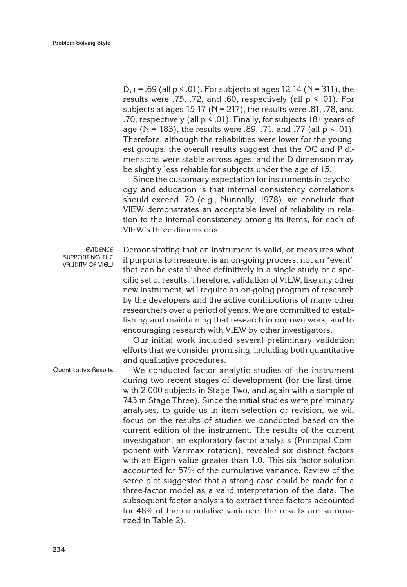D,  $r = .69$  (all  $p < .01$ ). For subjects at ages 12-14 (N = 311), the results were .75, .72, and .60, respectively (all  $p \le 0.01$ ). For subjects at ages 15-17 ( $N = 217$ ), the results were .81, .78, and .70, respectively (all  $p < .01$ ). Finally, for subjects 18+ years of age (N = 183), the results were .89, .71, and .77 (all  $p \le 0.01$ ). Therefore, although the reliabilities were lower for the youngest groups, the overall results suggest that the OC and P dimensions were stable across ages, and the D dimension may be slightly less reliable for subjects under the age of 15.

Since the customary expectation for instruments in psychology and education is that internal consistency correlations should exceed .70 (e.g., Nunnally, 1978), we conclude that VIEW demonstrates an acceptable level of reliability in relation to the internal consistency among its items, for each of VIEW's three dimensions.

**EVIDENCE** SUPPORTING THE VALIDITY OF VIEW

Demonstrating that an instrument is valid, or measures what it purports to measure, is an on-going process, not an "event" that can be established definitively in a single study or a specific set of results. Therefore, validation of VIEW, like any other new instrument, will require an on-going program of research by the developers and the active contributions of many other researchers over a period of years. We are committed to establishing and maintaining that research in our own work, and to encouraging research with VIEW by other investigators.

Our initial work included several preliminary validation efforts that we consider promising, including both quantitative and qualitative procedures.

Quantitative Results

We conducted factor analytic studies of the instrument during two recent stages of development (for the first time, with 2,000 subjects in Stage Two, and again with a sample of 743 in Stage Three). Since the initial studies were preliminary analyses, to guide us in item selection or revision, we will focus on the results of studies we conducted based on the current edition of the instrument. The results of the current investigation, an exploratory factor analysis (Principal Component with Varimax rotation), revealed six distinct factors with an Eigen value greater than 1.0. This six-factor solution accounted for 57% of the cumulative variance. Review of the scree plot suggested that a strong case could be made for a three-factor model as a valid interpretation of the data. The subsequent factor analysis to extract three factors accounted for 48% of the cumulative variance; the results are summarized in Table 2).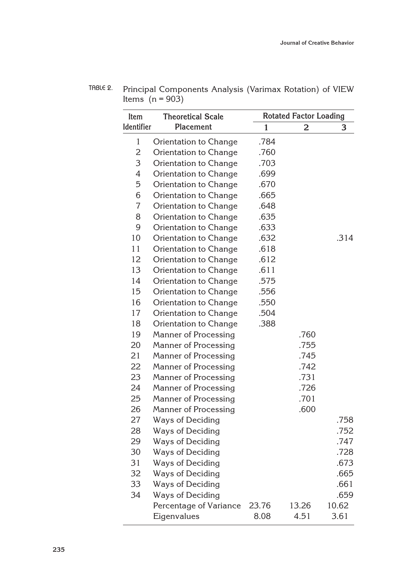| Item              | <b>Theoretical Scale</b> | <b>Rotated Factor Loading</b> |                |       |  |
|-------------------|--------------------------|-------------------------------|----------------|-------|--|
| <b>Identifier</b> | <b>Placement</b>         | 1                             | $\overline{2}$ | 3     |  |
| 1                 | Orientation to Change    | .784                          |                |       |  |
| $\overline{2}$    | Orientation to Change    | .760                          |                |       |  |
| 3                 | Orientation to Change    | .703                          |                |       |  |
| 4                 | Orientation to Change    | .699                          |                |       |  |
| 5                 | Orientation to Change    | .670                          |                |       |  |
| 6                 | Orientation to Change    | .665                          |                |       |  |
| $\overline{7}$    | Orientation to Change    | .648                          |                |       |  |
| 8                 | Orientation to Change    | .635                          |                |       |  |
| 9                 | Orientation to Change    | .633                          |                |       |  |
| 10                | Orientation to Change    | .632                          |                | .314  |  |
| 11                | Orientation to Change    | .618                          |                |       |  |
| 12                | Orientation to Change    | .612                          |                |       |  |
| 13                | Orientation to Change    | .611                          |                |       |  |
| 14                | Orientation to Change    | .575                          |                |       |  |
| 15                | Orientation to Change    | .556                          |                |       |  |
| 16                | Orientation to Change    | .550                          |                |       |  |
| 17                | Orientation to Change    | .504                          |                |       |  |
| 18                | Orientation to Change    | .388                          |                |       |  |
| 19                | Manner of Processing     |                               | .760           |       |  |
| 20                | Manner of Processing     |                               | .755           |       |  |
| 21                | Manner of Processing     |                               | .745           |       |  |
| 22                | Manner of Processing     |                               | .742           |       |  |
| 23                | Manner of Processing     |                               | .731           |       |  |
| 24                | Manner of Processing     |                               | .726           |       |  |
| 25                | Manner of Processing     |                               | .701           |       |  |
| 26                | Manner of Processing     |                               | .600           |       |  |
| 27                | Ways of Deciding         |                               |                | .758  |  |
| 28                | Ways of Deciding         |                               |                | .752  |  |
| 29                | Ways of Deciding         |                               |                | .747  |  |
| 30                | Ways of Deciding         |                               |                | .728  |  |
| 31                | Ways of Deciding         |                               |                | .673  |  |
| 32                | Ways of Deciding         |                               |                | .665  |  |
| 33                | Ways of Deciding         |                               |                | .661  |  |
| 34                | Ways of Deciding         |                               |                | .659  |  |
|                   | Percentage of Variance   | 23.76                         | 13.26          | 10.62 |  |
|                   | Eigenvalues              | 8.08                          | 4.51           | 3.61  |  |

Principal Components Analysis (Varimax Rotation) of VIEW Items (n = 903) TABLE 2.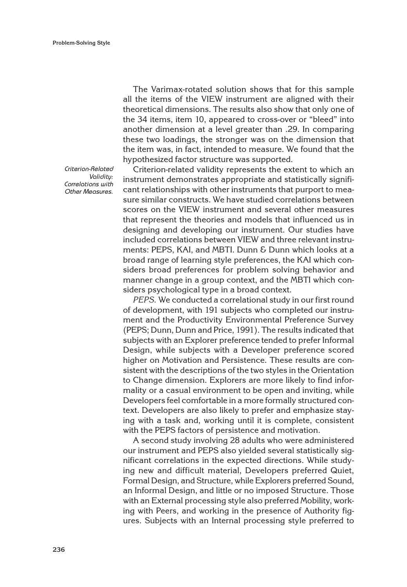The Varimax-rotated solution shows that for this sample all the items of the VIEW instrument are aligned with their theoretical dimensions. The results also show that only one of the 34 items, item 10, appeared to cross-over or "bleed" into another dimension at a level greater than .29. In comparing these two loadings, the stronger was on the dimension that the item was, in fact, intended to measure. We found that the hypothesized factor structure was supported.

Criterion-related validity represents the extent to which an instrument demonstrates appropriate and statistically significant relationships with other instruments that purport to measure similar constructs. We have studied correlations between scores on the VIEW instrument and several other measures that represent the theories and models that influenced us in designing and developing our instrument. Our studies have included correlations between VIEW and three relevant instruments: PEPS, KAI, and MBTI. Dunn & Dunn which looks at a broad range of learning style preferences, the KAI which considers broad preferences for problem solving behavior and manner change in a group context, and the MBTI which considers psychological type in a broad context.

*PEPS.* We conducted a correlational study in our first round of development, with 191 subjects who completed our instrument and the Productivity Environmental Preference Survey (PEPS; Dunn, Dunn and Price, 1991). The results indicated that subjects with an Explorer preference tended to prefer Informal Design, while subjects with a Developer preference scored higher on Motivation and Persistence. These results are consistent with the descriptions of the two styles in the Orientation to Change dimension. Explorers are more likely to find informality or a casual environment to be open and inviting, while Developers feel comfortable in a more formally structured context. Developers are also likely to prefer and emphasize staying with a task and, working until it is complete, consistent with the PEPS factors of persistence and motivation.

A second study involving 28 adults who were administered our instrument and PEPS also yielded several statistically significant correlations in the expected directions. While studying new and difficult material, Developers preferred Quiet, Formal Design, and Structure, while Explorers preferred Sound, an Informal Design, and little or no imposed Structure. Those with an External processing style also preferred Mobility, working with Peers, and working in the presence of Authority figures. Subjects with an Internal processing style preferred to

Criterion-Related Validity: Correlations with Other Measures.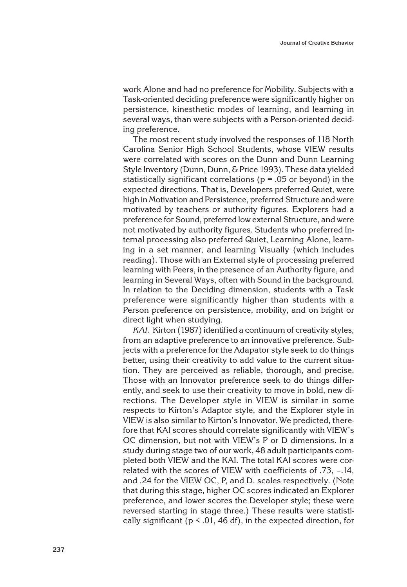work Alone and had no preference for Mobility. Subjects with a Task-oriented deciding preference were significantly higher on persistence, kinesthetic modes of learning, and learning in several ways, than were subjects with a Person-oriented deciding preference.

The most recent study involved the responses of 118 North Carolina Senior High School Students, whose VIEW results were correlated with scores on the Dunn and Dunn Learning Style Inventory (Dunn, Dunn, & Price 1993). These data yielded statistically significant correlations ( $p = .05$  or beyond) in the expected directions. That is, Developers preferred Quiet, were high in Motivation and Persistence, preferred Structure and were motivated by teachers or authority figures. Explorers had a preference for Sound, preferred low external Structure, and were not motivated by authority figures. Students who preferred Internal processing also preferred Quiet, Learning Alone, learning in a set manner, and learning Visually (which includes reading). Those with an External style of processing preferred learning with Peers, in the presence of an Authority figure, and learning in Several Ways, often with Sound in the background. In relation to the Deciding dimension, students with a Task preference were significantly higher than students with a Person preference on persistence, mobility, and on bright or direct light when studying.

*KAI.* Kirton (1987) identified a continuum of creativity styles, from an adaptive preference to an innovative preference. Subjects with a preference for the Adapator style seek to do things better, using their creativity to add value to the current situation. They are perceived as reliable, thorough, and precise. Those with an Innovator preference seek to do things differently, and seek to use their creativity to move in bold, new directions. The Developer style in VIEW is similar in some respects to Kirton's Adaptor style, and the Explorer style in VIEW is also similar to Kirton's Innovator. We predicted, therefore that KAI scores should correlate significantly with VIEW's OC dimension, but not with VIEW's P or D dimensions. In a study during stage two of our work, 48 adult participants completed both VIEW and the KAI. The total KAI scores were correlated with the scores of VIEW with coefficients of .73, –.14, and .24 for the VIEW OC, P, and D. scales respectively. (Note that during this stage, higher OC scores indicated an Explorer preference, and lower scores the Developer style; these were reversed starting in stage three.) These results were statistically significant ( $p \le 0.01$ , 46 df), in the expected direction, for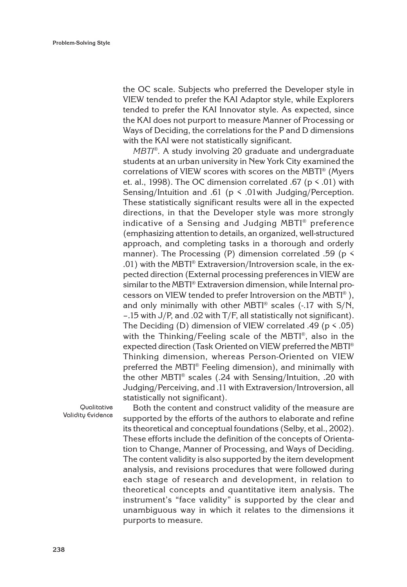the OC scale. Subjects who preferred the Developer style in VIEW tended to prefer the KAI Adaptor style, while Explorers tended to prefer the KAI Innovator style. As expected, since the KAI does not purport to measure Manner of Processing or Ways of Deciding, the correlations for the P and D dimensions with the KAI were not statistically significant.

*MBTI*®*.* A study involving 20 graduate and undergraduate students at an urban university in New York City examined the correlations of VIEW scores with scores on the MBTI® (Myers et. al., 1998). The OC dimension correlated .67 ( $p \le 0.01$ ) with Sensing/Intuition and .61 (p < .01with Judging/Perception. These statistically significant results were all in the expected directions, in that the Developer style was more strongly indicative of a Sensing and Judging MBTI® preference (emphasizing attention to details, an organized, well-structured approach, and completing tasks in a thorough and orderly manner). The Processing (P) dimension correlated .59 (p  $\leq$ .01) with the MBTI® Extraversion/Introversion scale, in the expected direction (External processing preferences in VIEW are similar to the MBTI® Extraversion dimension, while Internal processors on VIEW tended to prefer Introversion on the MBTI® ), and only minimally with other MBTI® scales (-.17 with S/N, –.15 with J/P, and .02 with T/F, all statistically not significant). The Deciding (D) dimension of VIEW correlated .49 ( $p \le 0.05$ ) with the Thinking/Feeling scale of the MBTI®, also in the expected direction (Task Oriented on VIEW preferred the MBTI® Thinking dimension, whereas Person-Oriented on VIEW preferred the MBTI® Feeling dimension), and minimally with the other MBTI® scales (.24 with Sensing/Intuition, .20 with Judging/Perceiving, and .11 with Extraversion/Introversion, all statistically not significant).

**Qualitative** Validity Evidence

Both the content and construct validity of the measure are supported by the efforts of the authors to elaborate and refine its theoretical and conceptual foundations (Selby, et al., 2002). These efforts include the definition of the concepts of Orientation to Change, Manner of Processing, and Ways of Deciding. The content validity is also supported by the item development analysis, and revisions procedures that were followed during each stage of research and development, in relation to theoretical concepts and quantitative item analysis. The instrument's "face validity" is supported by the clear and unambiguous way in which it relates to the dimensions it purports to measure.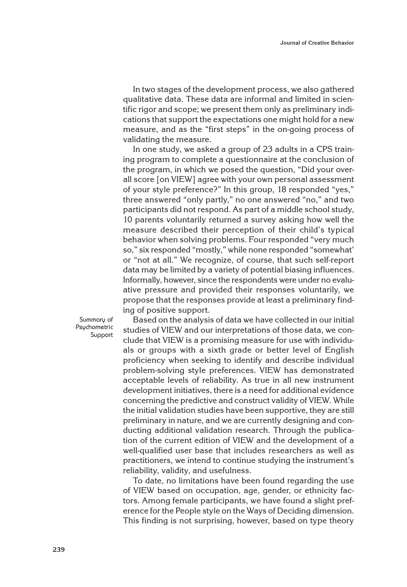In two stages of the development process, we also gathered qualitative data. These data are informal and limited in scientific rigor and scope; we present them only as preliminary indications that support the expectations one might hold for a new measure, and as the "first steps" in the on-going process of validating the measure.

In one study, we asked a group of 23 adults in a CPS training program to complete a questionnaire at the conclusion of the program, in which we posed the question, "Did your overall score [on VIEW] agree with your own personal assessment of your style preference?" In this group, 18 responded "yes," three answered "only partly," no one answered "no," and two participants did not respond. As part of a middle school study, 10 parents voluntarily returned a survey asking how well the measure described their perception of their child's typical behavior when solving problems. Four responded "very much so," six responded "mostly," while none responded "somewhat' or "not at all." We recognize, of course, that such self-report data may be limited by a variety of potential biasing influences. Informally, however, since the respondents were under no evaluative pressure and provided their responses voluntarily, we propose that the responses provide at least a preliminary finding of positive support.

Summary of Psychometric Support

Based on the analysis of data we have collected in our initial studies of VIEW and our interpretations of those data, we conclude that VIEW is a promising measure for use with individuals or groups with a sixth grade or better level of English proficiency when seeking to identify and describe individual problem-solving style preferences. VIEW has demonstrated acceptable levels of reliability. As true in all new instrument development initiatives, there is a need for additional evidence concerning the predictive and construct validity of VIEW. While the initial validation studies have been supportive, they are still preliminary in nature, and we are currently designing and conducting additional validation research. Through the publication of the current edition of VIEW and the development of a well-qualified user base that includes researchers as well as practitioners, we intend to continue studying the instrument's reliability, validity, and usefulness.

To date, no limitations have been found regarding the use of VIEW based on occupation, age, gender, or ethnicity factors. Among female participants, we have found a slight preference for the People style on the Ways of Deciding dimension. This finding is not surprising, however, based on type theory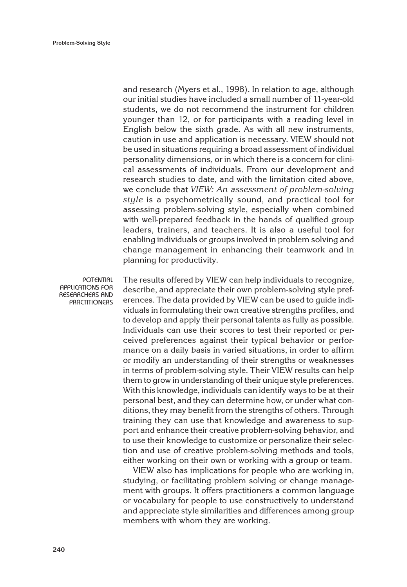and research (Myers et al., 1998). In relation to age, although our initial studies have included a small number of 11-year-old students, we do not recommend the instrument for children younger than 12, or for participants with a reading level in English below the sixth grade. As with all new instruments, caution in use and application is necessary. VIEW should not be used in situations requiring a broad assessment of individual personality dimensions, or in which there is a concern for clinical assessments of individuals. From our development and research studies to date, and with the limitation cited above, we conclude that *VIEW: An assessment of problem-solving style* is a psychometrically sound, and practical tool for assessing problem-solving style, especially when combined with well-prepared feedback in the hands of qualified group leaders, trainers, and teachers. It is also a useful tool for enabling individuals or groups involved in problem solving and change management in enhancing their teamwork and in planning for productivity.

**POTENTIAL** APPLICATIONS FOR RESEARCHERS AND **PRACTITIONERS**  The results offered by VIEW can help individuals to recognize, describe, and appreciate their own problem-solving style preferences. The data provided by VIEW can be used to guide individuals in formulating their own creative strengths profiles, and to develop and apply their personal talents as fully as possible. Individuals can use their scores to test their reported or perceived preferences against their typical behavior or performance on a daily basis in varied situations, in order to affirm or modify an understanding of their strengths or weaknesses in terms of problem-solving style. Their VIEW results can help them to grow in understanding of their unique style preferences. With this knowledge, individuals can identify ways to be at their personal best, and they can determine how, or under what conditions, they may benefit from the strengths of others. Through training they can use that knowledge and awareness to support and enhance their creative problem-solving behavior, and to use their knowledge to customize or personalize their selection and use of creative problem-solving methods and tools, either working on their own or working with a group or team.

VIEW also has implications for people who are working in, studying, or facilitating problem solving or change management with groups. It offers practitioners a common language or vocabulary for people to use constructively to understand and appreciate style similarities and differences among group members with whom they are working.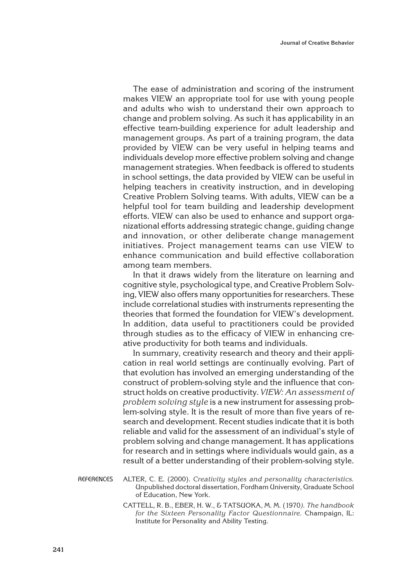The ease of administration and scoring of the instrument makes VIEW an appropriate tool for use with young people and adults who wish to understand their own approach to change and problem solving. As such it has applicability in an effective team-building experience for adult leadership and management groups. As part of a training program, the data provided by VIEW can be very useful in helping teams and individuals develop more effective problem solving and change management strategies. When feedback is offered to students in school settings, the data provided by VIEW can be useful in helping teachers in creativity instruction, and in developing Creative Problem Solving teams. With adults, VIEW can be a helpful tool for team building and leadership development efforts. VIEW can also be used to enhance and support organizational efforts addressing strategic change, guiding change and innovation, or other deliberate change management initiatives. Project management teams can use VIEW to enhance communication and build effective collaboration among team members.

In that it draws widely from the literature on learning and cognitive style, psychological type, and Creative Problem Solving, VIEW also offers many opportunities for researchers. These include correlational studies with instruments representing the theories that formed the foundation for VIEW's development. In addition, data useful to practitioners could be provided through studies as to the efficacy of VIEW in enhancing creative productivity for both teams and individuals.

In summary, creativity research and theory and their application in real world settings are continually evolving. Part of that evolution has involved an emerging understanding of the construct of problem-solving style and the influence that construct holds on creative productivity. *VIEW: An assessment of problem solving style* is a new instrument for assessing problem-solving style. It is the result of more than five years of research and development. Recent studies indicate that it is both reliable and valid for the assessment of an individual's style of problem solving and change management. It has applications for research and in settings where individuals would gain, as a result of a better understanding of their problem-solving style.

ALTER, C. E. (2000). *Creativity styles and personality characteristics.* Unpublished doctoral dissertation, Fordham University, Graduate School of Education, New York. **REFERENCES** 

> CATTELL, R. B., EBER, H. W., & TATSUOKA, M. M. (1970*). The handbook for the Sixteen Personality Factor Questionnaire.* Champaign, IL: Institute for Personality and Ability Testing.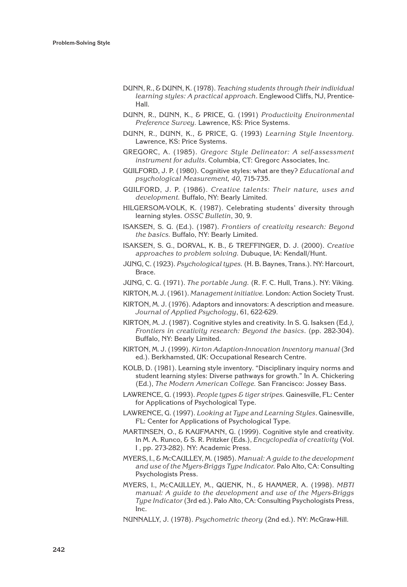- DUNN, R., & DUNN, K. (1978). *Teaching students through their individual learning styles: A practical approach*. Englewood Cliffs, NJ, Prentice-Hall.
- DUNN, R., DUNN, K., & PRICE, G. (1991) *Productivity Environmental Preference Survey.* Lawrence, KS: Price Systems.
- DUNN, R., DUNN, K., & PRICE, G. (1993) *Learning Style Inventory.* Lawrence, KS: Price Systems.
- GREGORC, A. (1985). *Gregorc Style Delineator: A self-assessment instrument for adults*. Columbia, CT: Gregorc Associates, Inc.
- GUILFORD, J. P. (1980). Cognitive styles: what are they? *Educational and psychological Measurement, 40,* 715-735.
- GUILFORD, J. P. (1986). *Creative talents: Their nature, uses and development.* Buffalo, NY: Bearly Limited.
- HILGERSOM-VOLK, K. (1987). Celebrating students' diversity through learning styles. *OSSC Bulletin*, 30, 9.
- ISAKSEN, S. G. (Ed.). (1987). *Frontiers of creativity research: Beyond the basics.* Buffalo, NY: Bearly Limited.
- ISAKSEN, S. G., DORVAL, K. B., & TREFFINGER, D. J. (2000). *Creative approaches to problem solving.* Dubuque, IA: Kendall/Hunt.
- JUNG, C. (1923). *Psychological types.* (H. B. Baynes, Trans.). NY: Harcourt, Brace.
- JUNG, C. G. (1971). *The portable Jung.* (R. F. C. Hull, Trans.). NY: Viking.
- KIRTON, M. J. (1961). *Management initiative.* London: Action Society Trust.
- KIRTON, M. J. (1976). Adaptors and innovators: A description and measure. *Journal of Applied Psychology*, 61, 622-629.
- KIRTON, M. J. (1987). Cognitive styles and creativity. In S. G. Isaksen (Ed*.), Frontiers in creativity research: Beyond the basics*. (pp. 282-304). Buffalo, NY: Bearly Limited.
- KIRTON, M. J. (1999). *Kirton Adaption-Innovation Inventory manual* (3rd ed.). Berkhamsted, UK: Occupational Research Centre.
- KOLB, D. (1981). Learning style inventory. "Disciplinary inquiry norms and student learning styles: Diverse pathways for growth." In A. Chickering (Ed.), *The Modern American College.* San Francisco: Jossey Bass.
- LAWRENCE, G. (1993). *People types & tiger stripes.* Gainesville, FL: Center for Applications of Psychological Type.
- LAWRENCE, G. (1997). *Looking at Type and Learning Styles*. Gainesville, FL: Center for Applications of Psychological Type.
- MARTINSEN, O., & KAUFMANN, G. (1999). Cognitive style and creativity. In M. A. Runco, & S. R. Pritzker (Eds.), *Encyclopedia of creativity* (Vol. I , pp. 273-282). NY: Academic Press.
- MYERS, I., & MCCAULLEY, M. (1985). *Manual: A guide to the development and use of the Myers-Briggs Type Indicator.* Palo Alto, CA: Consulting Psychologists Press.
- MYERS, I., MCCAULLEY, M., QUENK, N., & HAMMER, A. (1998). *MBTI manual: A guide to the development and use of the Myers-Briggs Type Indicator* (3rd ed.). Palo Alto, CA: Consulting Psychologists Press, Inc.
- NUNNALLY, J. (1978). *Psychometric theory* (2nd ed.). NY: McGraw-Hill.